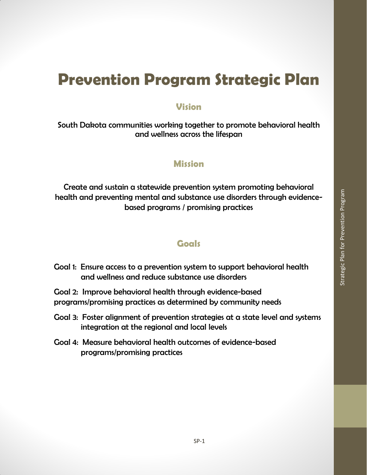# **Prevention Program Strategic Plan**

# **Vision**

South Dakota communities working together to promote behavioral health and wellness across the lifespan

# **Mission**

Create and sustain a statewide prevention system promoting behavioral health and preventing mental and substance use disorders through evidencebased programs / promising practices

# **Goals**

- Goal 1: Ensure access to a prevention system to support behavioral health and wellness and reduce substance use disorders
- Goal 2: Improve behavioral health through evidence-based programs/promising practices as determined by community needs
- Goal 3: Foster alignment of prevention strategies at a state level and systems integration at the regional and local levels
- Goal 4: Measure behavioral health outcomes of evidence-based programs/promising practices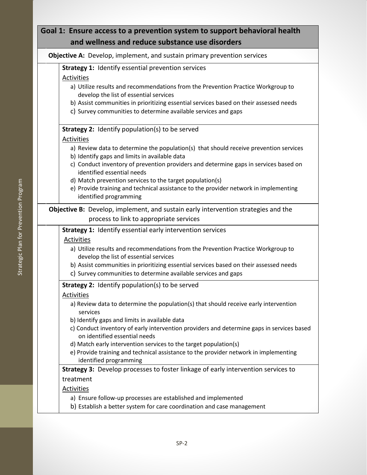# **Goal 1: Ensure access to a prevention system to support behavioral health and wellness and reduce substance use disorders**

**Objective A:** Develop, implement, and sustain primary prevention services

**Strategy 1:** Identify essential prevention services

#### Activities

- a) Utilize results and recommendations from the Prevention Practice Workgroup to develop the list of essential services
- b) Assist communities in prioritizing essential services based on their assessed needs
- c) Survey communities to determine available services and gaps

#### **Strategy 2:** Identify population(s) to be served

#### Activities

- a) Review data to determine the population(s) that should receive prevention services
- b) Identify gaps and limits in available data
- c) Conduct inventory of prevention providers and determine gaps in services based on identified essential needs
- d) Match prevention services to the target population(s)
- e) Provide training and technical assistance to the provider network in implementing identified programming

## **Objective B:** Develop, implement, and sustain early intervention strategies and the process to link to appropriate services

**Strategy 1:** Identify essential early intervention services

#### Activities

- a) Utilize results and recommendations from the Prevention Practice Workgroup to develop the list of essential services
- b) Assist communities in prioritizing essential services based on their assessed needs
- c) Survey communities to determine available services and gaps

## **Strategy 2:** Identify population(s) to be served

#### Activities

- a) Review data to determine the population(s) that should receive early intervention services
- b) Identify gaps and limits in available data
- c) Conduct inventory of early intervention providers and determine gaps in services based on identified essential needs
- d) Match early intervention services to the target population(s)
- e) Provide training and technical assistance to the provider network in implementing identified programming

## **Strategy 3:** Develop processes to foster linkage of early intervention services to treatment

## Activities

- a) Ensure follow-up processes are established and implemented
- b) Establish a better system for care coordination and case management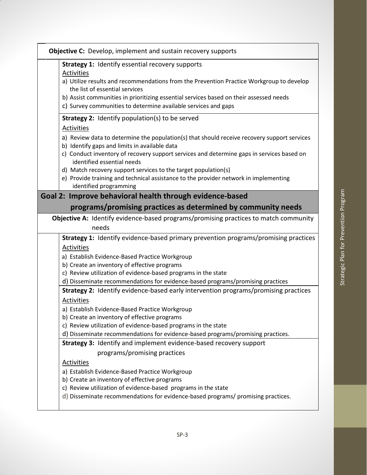| <b>Objective C:</b> Develop, implement and sustain recovery supports<br><b>Strategy 1: Identify essential recovery supports</b><br>Activities<br>a) Utilize results and recommendations from the Prevention Practice Workgroup to develop |  |
|-------------------------------------------------------------------------------------------------------------------------------------------------------------------------------------------------------------------------------------------|--|
|                                                                                                                                                                                                                                           |  |
|                                                                                                                                                                                                                                           |  |
|                                                                                                                                                                                                                                           |  |
| the list of essential services                                                                                                                                                                                                            |  |
| b) Assist communities in prioritizing essential services based on their assessed needs                                                                                                                                                    |  |
| c) Survey communities to determine available services and gaps                                                                                                                                                                            |  |
| Strategy 2: Identify population(s) to be served                                                                                                                                                                                           |  |
| <b>Activities</b>                                                                                                                                                                                                                         |  |
| a) Review data to determine the population(s) that should receive recovery support services<br>b) Identify gaps and limits in available data                                                                                              |  |
| c) Conduct inventory of recovery support services and determine gaps in services based on<br>identified essential needs                                                                                                                   |  |
| d) Match recovery support services to the target population(s)                                                                                                                                                                            |  |
| e) Provide training and technical assistance to the provider network in implementing<br>identified programming                                                                                                                            |  |
| Goal 2: Improve behavioral health through evidence-based                                                                                                                                                                                  |  |
| programs/promising practices as determined by community needs                                                                                                                                                                             |  |
| <b>Objective A:</b> Identify evidence-based programs/promising practices to match community                                                                                                                                               |  |
| needs                                                                                                                                                                                                                                     |  |
| <b>Strategy 1:</b> Identify evidence-based primary prevention programs/promising practices                                                                                                                                                |  |
| Activities                                                                                                                                                                                                                                |  |
| a) Establish Evidence-Based Practice Workgroup                                                                                                                                                                                            |  |
| b) Create an inventory of effective programs                                                                                                                                                                                              |  |
| c) Review utilization of evidence-based programs in the state                                                                                                                                                                             |  |
| d) Disseminate recommendations for evidence-based programs/promising practices                                                                                                                                                            |  |
| Strategy 2: Identify evidence-based early intervention programs/promising practices                                                                                                                                                       |  |
| Activities                                                                                                                                                                                                                                |  |
| a) Establish Evidence-Based Practice Workgroup                                                                                                                                                                                            |  |
| b) Create an inventory of effective programs                                                                                                                                                                                              |  |
| c) Review utilization of evidence-based programs in the state                                                                                                                                                                             |  |
| d) Disseminate recommendations for evidence-based programs/promising practices.                                                                                                                                                           |  |
| Strategy 3: Identify and implement evidence-based recovery support                                                                                                                                                                        |  |
| programs/promising practices                                                                                                                                                                                                              |  |
| Activities                                                                                                                                                                                                                                |  |
| a) Establish Evidence-Based Practice Workgroup                                                                                                                                                                                            |  |
| b) Create an inventory of effective programs                                                                                                                                                                                              |  |
| c) Review utilization of evidence-based programs in the state                                                                                                                                                                             |  |
| d) Disseminate recommendations for evidence-based programs/ promising practices.                                                                                                                                                          |  |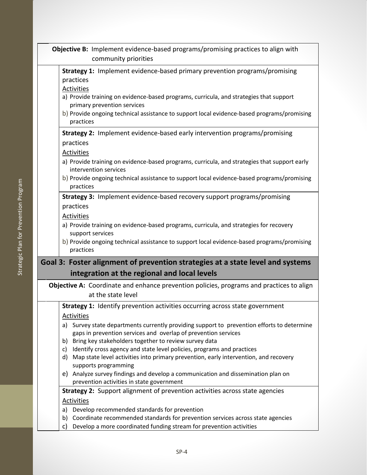| Objective B: Implement evidence-based programs/promising practices to align with |                                                                                                                                                                                                                                                                                                                                                  |  |
|----------------------------------------------------------------------------------|--------------------------------------------------------------------------------------------------------------------------------------------------------------------------------------------------------------------------------------------------------------------------------------------------------------------------------------------------|--|
|                                                                                  | community priorities                                                                                                                                                                                                                                                                                                                             |  |
|                                                                                  | Strategy 1: Implement evidence-based primary prevention programs/promising<br>practices<br><b>Activities</b><br>a) Provide training on evidence-based programs, curricula, and strategies that support<br>primary prevention services<br>b) Provide ongoing technical assistance to support local evidence-based programs/promising<br>practices |  |
|                                                                                  | <b>Strategy 2:</b> Implement evidence-based early intervention programs/promising                                                                                                                                                                                                                                                                |  |
|                                                                                  | practices<br><b>Activities</b><br>a) Provide training on evidence-based programs, curricula, and strategies that support early<br>intervention services<br>b) Provide ongoing technical assistance to support local evidence-based programs/promising                                                                                            |  |
|                                                                                  | practices                                                                                                                                                                                                                                                                                                                                        |  |
|                                                                                  | <b>Strategy 3:</b> Implement evidence-based recovery support programs/promising<br>practices<br>Activities<br>a) Provide training on evidence-based programs, curricula, and strategies for recovery<br>support services                                                                                                                         |  |
|                                                                                  | b) Provide ongoing technical assistance to support local evidence-based programs/promising<br>practices                                                                                                                                                                                                                                          |  |
|                                                                                  | Goal 3: Foster alignment of prevention strategies at a state level and systems<br>integration at the regional and local levels                                                                                                                                                                                                                   |  |
|                                                                                  | Objective A: Coordinate and enhance prevention policies, programs and practices to align<br>at the state level                                                                                                                                                                                                                                   |  |
|                                                                                  | Strategy 1: Identify prevention activities occurring across state government                                                                                                                                                                                                                                                                     |  |
|                                                                                  | <b>Activities</b><br>a) Survey state departments currently providing support to prevention efforts to determine<br>gaps in prevention services and overlap of prevention services<br>Bring key stakeholders together to review survey data<br>b)                                                                                                 |  |
|                                                                                  | Identify cross agency and state level policies, programs and practices<br>C)<br>d) Map state level activities into primary prevention, early intervention, and recovery<br>supports programming<br>Analyze survey findings and develop a communication and dissemination plan on                                                                 |  |
|                                                                                  | e)<br>prevention activities in state government                                                                                                                                                                                                                                                                                                  |  |
|                                                                                  | Strategy 2: Support alignment of prevention activities across state agencies<br><b>Activities</b><br>Develop recommended standards for prevention<br>a)<br>Coordinate recommended standards for prevention services across state agencies<br>b)                                                                                                  |  |
|                                                                                  | Develop a more coordinated funding stream for prevention activities<br>c)                                                                                                                                                                                                                                                                        |  |
|                                                                                  |                                                                                                                                                                                                                                                                                                                                                  |  |

 $\Box$ 

Г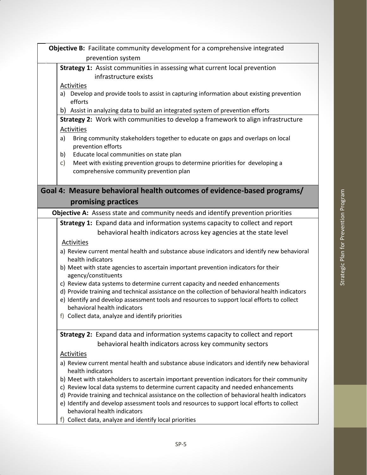| Objective B: Facilitate community development for a comprehensive integrated<br>prevention system                              |
|--------------------------------------------------------------------------------------------------------------------------------|
| <b>Strategy 1:</b> Assist communities in assessing what current local prevention<br>infrastructure exists                      |
| Activities                                                                                                                     |
| Develop and provide tools to assist in capturing information about existing prevention<br>a)<br>efforts                        |
| b) Assist in analyzing data to build an integrated system of prevention efforts                                                |
| Strategy 2: Work with communities to develop a framework to align infrastructure                                               |
| Activities                                                                                                                     |
| Bring community stakeholders together to educate on gaps and overlaps on local<br>a)<br>prevention efforts                     |
| Educate local communities on state plan<br>b)                                                                                  |
| Meet with existing prevention groups to determine priorities for developing a<br>c)<br>comprehensive community prevention plan |
|                                                                                                                                |
| Goal 4: Measure behavioral health outcomes of evidence-based programs/<br>promising practices                                  |
| Objective A: Assess state and community needs and identify prevention priorities                                               |
| Strategy 1: Expand data and information systems capacity to collect and report                                                 |
| behavioral health indicators across key agencies at the state level                                                            |
| <b>Activities</b>                                                                                                              |
| a) Review current mental health and substance abuse indicators and identify new behavioral<br>health indicators                |
| b) Meet with state agencies to ascertain important prevention indicators for their<br>agency/constituents                      |
| c) Review data systems to determine current capacity and needed enhancements                                                   |
| d) Provide training and technical assistance on the collection of behavioral health indicators                                 |
| e) Identify and develop assessment tools and resources to support local efforts to collect                                     |
| behavioral health indicators<br>f) Collect data, analyze and identify priorities                                               |
|                                                                                                                                |
| Strategy 2: Expand data and information systems capacity to collect and report                                                 |
| behavioral health indicators across key community sectors                                                                      |
| <b>Activities</b>                                                                                                              |
| a) Review current mental health and substance abuse indicators and identify new behavioral<br>health indicators                |
| b) Meet with stakeholders to ascertain important prevention indicators for their community                                     |
| c) Review local data systems to determine current capacity and needed enhancements                                             |
| d) Provide training and technical assistance on the collection of behavioral health indicators                                 |
| e) Identify and develop assessment tools and resources to support local efforts to collect<br>behavioral health indicators     |
| f) Collect data, analyze and identify local priorities                                                                         |